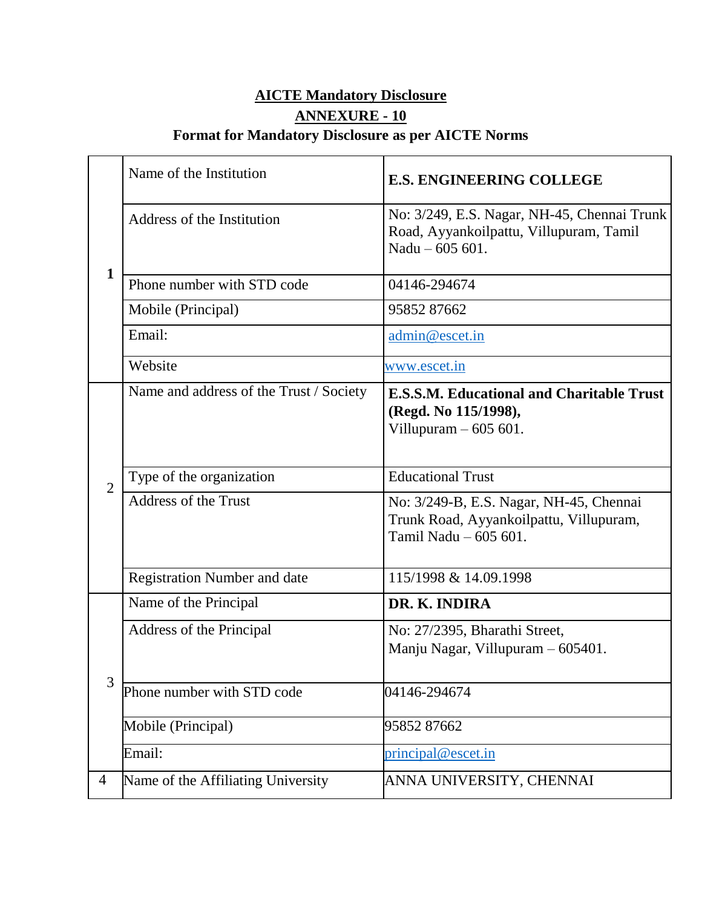# **AICTE Mandatory Disclosure ANNEXURE - 10 Format for Mandatory Disclosure as per AICTE Norms**

|                | Name of the Institution                 | <b>E.S. ENGINEERING COLLEGE</b>                                                                             |
|----------------|-----------------------------------------|-------------------------------------------------------------------------------------------------------------|
|                | Address of the Institution              | No: 3/249, E.S. Nagar, NH-45, Chennai Trunk<br>Road, Ayyankoilpattu, Villupuram, Tamil<br>Nadu $-605601$ .  |
| $\mathbf{1}$   | Phone number with STD code              | 04146-294674                                                                                                |
|                | Mobile (Principal)                      | 9585287662                                                                                                  |
|                | Email:                                  | admin@escet.in                                                                                              |
|                | Website                                 | www.escet.in                                                                                                |
|                | Name and address of the Trust / Society | <b>E.S.S.M. Educational and Charitable Trust</b><br>(Regd. No 115/1998),<br>Villupuram $-605601$ .          |
| $\overline{2}$ | Type of the organization                | <b>Educational Trust</b>                                                                                    |
|                | <b>Address of the Trust</b>             | No: 3/249-B, E.S. Nagar, NH-45, Chennai<br>Trunk Road, Ayyankoilpattu, Villupuram,<br>Tamil Nadu - 605 601. |
|                | <b>Registration Number and date</b>     | 115/1998 & 14.09.1998                                                                                       |
|                | Name of the Principal                   | DR. K. INDIRA                                                                                               |
| 3              | Address of the Principal                | No: 27/2395, Bharathi Street,<br>Manju Nagar, Villupuram - 605401.                                          |
|                | Phone number with STD code              | 04146-294674                                                                                                |
|                | Mobile (Principal)                      | 9585287662                                                                                                  |
|                | Email:                                  | principal@escet.in                                                                                          |
| 4              | Name of the Affiliating University      | ANNA UNIVERSITY, CHENNAI                                                                                    |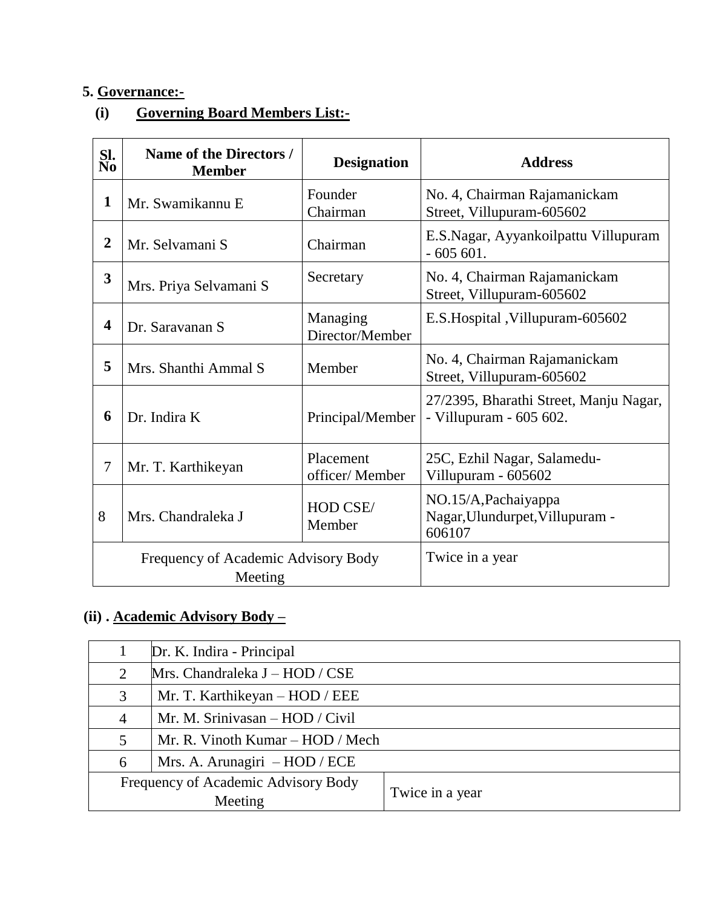# **5. Governance:-**

# **(i) Governing Board Members List:-**

| SI.<br>No               | Name of the Directors /<br><b>Member</b>       | <b>Designation</b>          | <b>Address</b>                                                    |
|-------------------------|------------------------------------------------|-----------------------------|-------------------------------------------------------------------|
| 1                       | Mr. Swamikannu E                               | Founder<br>Chairman         | No. 4, Chairman Rajamanickam<br>Street, Villupuram-605602         |
| $\overline{2}$          | Mr. Selvamani S                                | Chairman                    | E.S.Nagar, Ayyankoilpattu Villupuram<br>$-605601.$                |
| $\overline{\mathbf{3}}$ | Mrs. Priya Selvamani S                         | Secretary                   | No. 4, Chairman Rajamanickam<br>Street, Villupuram-605602         |
| 4                       | Dr. Saravanan S                                | Managing<br>Director/Member | E.S. Hospital, Villupuram-605602                                  |
| 5                       | Mrs. Shanthi Ammal S                           | Member                      | No. 4, Chairman Rajamanickam<br>Street, Villupuram-605602         |
| 6                       | Dr. Indira K                                   | Principal/Member            | 27/2395, Bharathi Street, Manju Nagar,<br>- Villupuram - 605 602. |
| 7                       | Mr. T. Karthikeyan                             | Placement<br>officer/Member | 25C, Ezhil Nagar, Salamedu-<br>Villupuram - 605602                |
| 8                       | Mrs. Chandraleka J                             | HOD CSE/<br>Member          | NO.15/A, Pachaiyappa<br>Nagar, Ulundurpet, Villupuram -<br>606107 |
|                         | Frequency of Academic Advisory Body<br>Meeting | Twice in a year             |                                                                   |

# **(ii) . Academic Advisory Body –**

|   | Dr. K. Indira - Principal           |                 |  |  |
|---|-------------------------------------|-----------------|--|--|
| 2 | Mrs. Chandraleka J - HOD / CSE      |                 |  |  |
| 3 | Mr. T. Karthikeyan – HOD / EEE      |                 |  |  |
| 4 | Mr. M. Sriniyasan $-$ HOD / Civil   |                 |  |  |
| 5 | Mr. R. Vinoth Kumar – HOD / Mech    |                 |  |  |
| 6 | Mrs. A. Arunagiri - HOD / ECE       |                 |  |  |
|   | Frequency of Academic Advisory Body |                 |  |  |
|   | Meeting                             | Twice in a year |  |  |
|   |                                     |                 |  |  |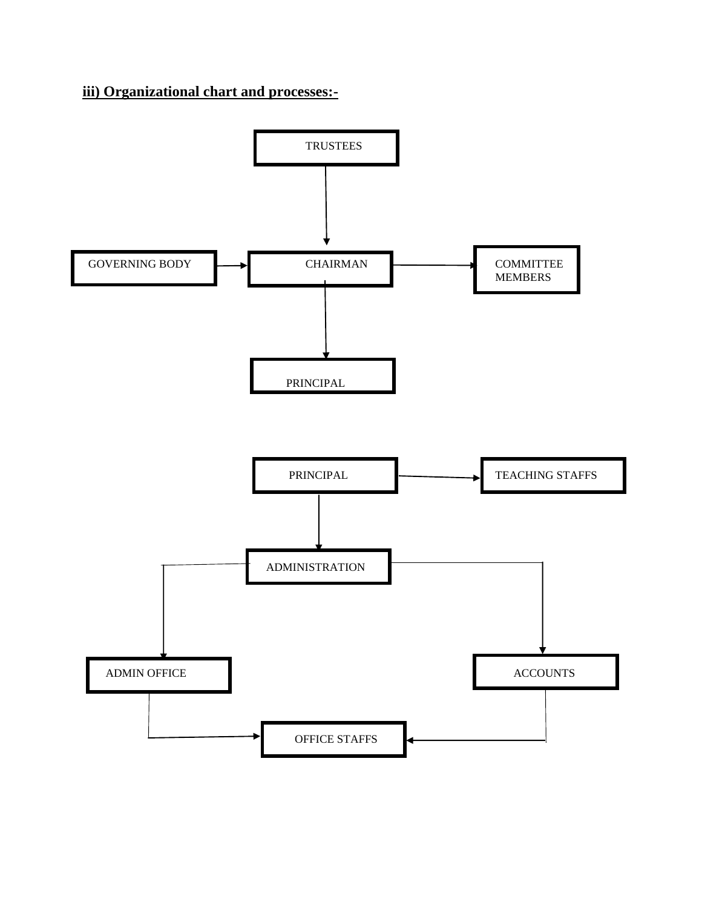## **iii) Organizational chart and processes:-**

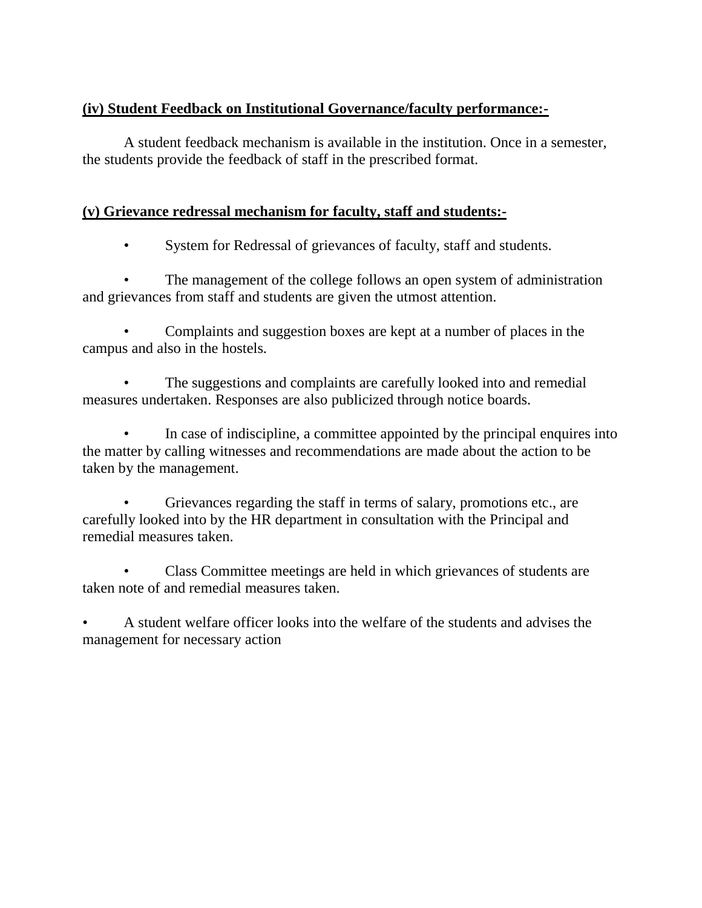## **(iv) Student Feedback on Institutional Governance/faculty performance:-**

A student feedback mechanism is available in the institution. Once in a semester, the students provide the feedback of staff in the prescribed format.

#### **(v) Grievance redressal mechanism for faculty, staff and students:-**

• System for Redressal of grievances of faculty, staff and students.

The management of the college follows an open system of administration and grievances from staff and students are given the utmost attention.

• Complaints and suggestion boxes are kept at a number of places in the campus and also in the hostels.

The suggestions and complaints are carefully looked into and remedial measures undertaken. Responses are also publicized through notice boards.

In case of indiscipline, a committee appointed by the principal enquires into the matter by calling witnesses and recommendations are made about the action to be taken by the management.

• Grievances regarding the staff in terms of salary, promotions etc., are carefully looked into by the HR department in consultation with the Principal and remedial measures taken.

• Class Committee meetings are held in which grievances of students are taken note of and remedial measures taken.

• A student welfare officer looks into the welfare of the students and advises the management for necessary action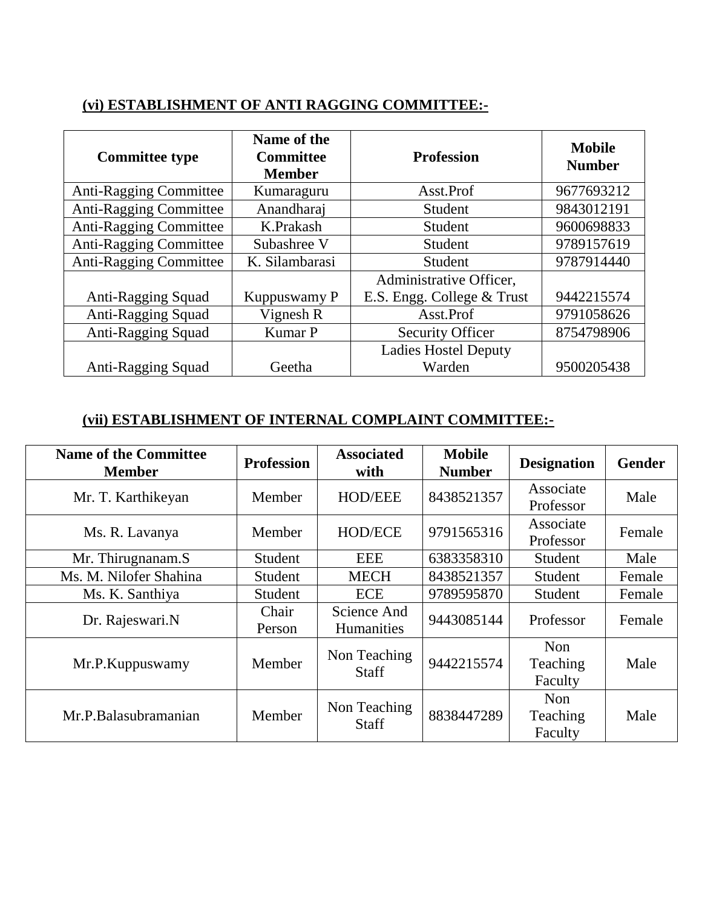# **(vi) ESTABLISHMENT OF ANTI RAGGING COMMITTEE:-**

| <b>Committee type</b>         | Name of the<br><b>Committee</b><br><b>Member</b> | <b>Profession</b>           | <b>Mobile</b><br><b>Number</b> |
|-------------------------------|--------------------------------------------------|-----------------------------|--------------------------------|
| <b>Anti-Ragging Committee</b> | Kumaraguru                                       | Asst.Prof                   | 9677693212                     |
| <b>Anti-Ragging Committee</b> | Anandharaj                                       | Student                     | 9843012191                     |
| <b>Anti-Ragging Committee</b> | K.Prakash                                        | Student                     | 9600698833                     |
| Anti-Ragging Committee        | Subashree V                                      | Student                     | 9789157619                     |
| <b>Anti-Ragging Committee</b> | K. Silambarasi                                   | Student                     | 9787914440                     |
|                               |                                                  | Administrative Officer,     |                                |
| Anti-Ragging Squad            | Kuppuswamy P                                     | E.S. Engg. College & Trust  | 9442215574                     |
| Anti-Ragging Squad            | Vignesh R                                        | Asst.Prof                   | 9791058626                     |
| Anti-Ragging Squad<br>Kumar P |                                                  | <b>Security Officer</b>     | 8754798906                     |
|                               |                                                  | <b>Ladies Hostel Deputy</b> |                                |
| Anti-Ragging Squad<br>Geetha  |                                                  | Warden                      | 9500205438                     |

## **(vii) ESTABLISHMENT OF INTERNAL COMPLAINT COMMITTEE:-**

| <b>Name of the Committee</b><br><b>Member</b> | <b>Profession</b> | <b>Associated</b><br>with        | <b>Mobile</b><br><b>Number</b> | <b>Designation</b>                | <b>Gender</b> |
|-----------------------------------------------|-------------------|----------------------------------|--------------------------------|-----------------------------------|---------------|
| Mr. T. Karthikeyan                            | Member            | <b>HOD/EEE</b>                   | 8438521357                     | Associate<br>Professor            | Male          |
| Ms. R. Lavanya                                | Member            | <b>HOD/ECE</b>                   | 9791565316                     | Associate<br>Professor            | Female        |
| Mr. Thirugnanam.S                             | Student           | EEE                              | 6383358310                     | Student                           | Male          |
| Ms. M. Nilofer Shahina                        | Student           | <b>MECH</b>                      | 8438521357                     | Student                           | Female        |
| Ms. K. Santhiya                               | Student           | <b>ECE</b>                       | 9789595870                     | Student                           | Female        |
| Dr. Rajeswari.N                               | Chair<br>Person   | Science And<br><b>Humanities</b> | 9443085144                     | Professor                         | Female        |
| Mr.P.Kuppuswamy                               | Member            | Non Teaching<br><b>Staff</b>     | 9442215574                     | <b>Non</b><br>Teaching<br>Faculty | Male          |
| Mr.P.Balasubramanian                          | Member            | Non Teaching<br><b>Staff</b>     | 8838447289                     | <b>Non</b><br>Teaching<br>Faculty | Male          |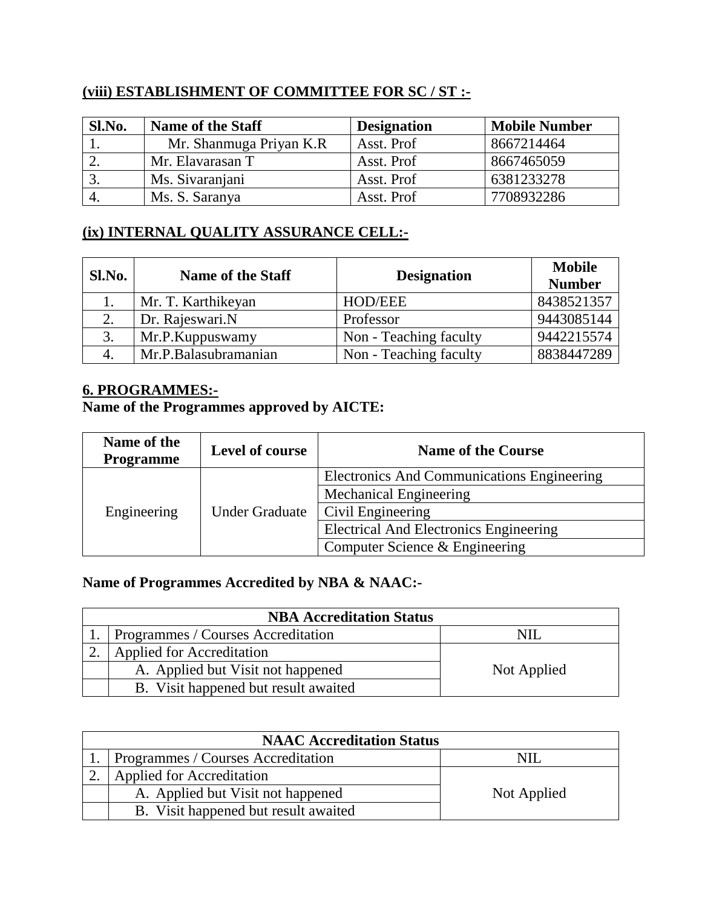#### **(viii) ESTABLISHMENT OF COMMITTEE FOR SC / ST :-**

| Sl.No. | <b>Name of the Staff</b> | <b>Designation</b> | <b>Mobile Number</b> |
|--------|--------------------------|--------------------|----------------------|
|        | Mr. Shanmuga Priyan K.R  | Asst. Prof         | 8667214464           |
|        | Mr. Elavarasan T         | Asst. Prof         | 8667465059           |
|        | Ms. Sivaranjani          | Asst. Prof         | 6381233278           |
|        | Ms. S. Saranya           | Asst. Prof         | 7708932286           |

## **(ix) INTERNAL QUALITY ASSURANCE CELL:-**

| Sl.No. | <b>Name of the Staff</b> | <b>Designation</b>     | <b>Mobile</b> |
|--------|--------------------------|------------------------|---------------|
|        |                          |                        | <b>Number</b> |
|        | Mr. T. Karthikeyan       | <b>HOD/EEE</b>         | 8438521357    |
|        | Dr. Rajeswari.N          | Professor              | 9443085144    |
| 3.     | Mr.P.Kuppuswamy          | Non - Teaching faculty | 9442215574    |
|        | Mr.P.Balasubramanian     | Non - Teaching faculty | 8838447289    |

#### **6. PROGRAMMES:-**

# **Name of the Programmes approved by AICTE:**

| Name of the<br>Level of course<br><b>Programme</b> |                       | <b>Name of the Course</b>                     |  |
|----------------------------------------------------|-----------------------|-----------------------------------------------|--|
|                                                    | <b>Under Graduate</b> | Electronics And Communications Engineering    |  |
|                                                    |                       | Mechanical Engineering                        |  |
| Engineering                                        |                       | Civil Engineering                             |  |
|                                                    |                       | <b>Electrical And Electronics Engineering</b> |  |
|                                                    |                       | Computer Science & Engineering                |  |

# **Name of Programmes Accredited by NBA & NAAC:-**

| <b>NBA Accreditation Status</b>      |             |  |  |  |
|--------------------------------------|-------------|--|--|--|
| Programmes / Courses Accreditation   |             |  |  |  |
| <b>Applied for Accreditation</b>     |             |  |  |  |
| A. Applied but Visit not happened    | Not Applied |  |  |  |
| B. Visit happened but result awaited |             |  |  |  |

| <b>NAAC Accreditation Status</b>          |             |  |  |  |  |
|-------------------------------------------|-------------|--|--|--|--|
| <b>Programmes / Courses Accreditation</b> |             |  |  |  |  |
| <b>Applied for Accreditation</b>          |             |  |  |  |  |
| A. Applied but Visit not happened         | Not Applied |  |  |  |  |
| B. Visit happened but result awaited      |             |  |  |  |  |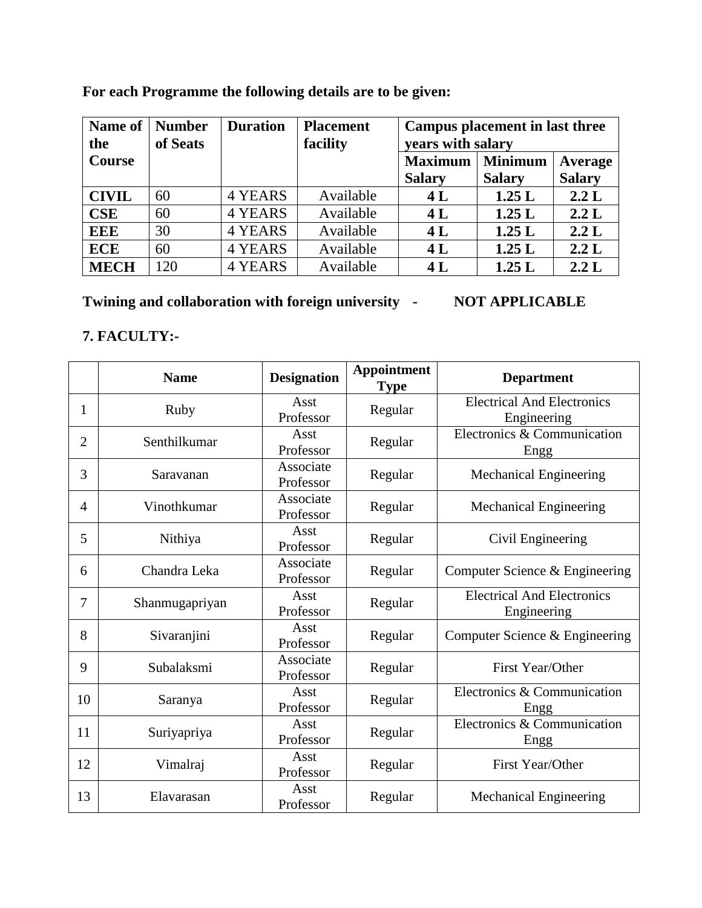| Name of<br>the | <b>Number</b><br>of Seats | <b>Duration</b> | <b>Placement</b><br>facility | Campus placement in last three<br>years with salary |                |               |
|----------------|---------------------------|-----------------|------------------------------|-----------------------------------------------------|----------------|---------------|
| <b>Course</b>  |                           |                 |                              | <b>Maximum</b>                                      | <b>Minimum</b> | Average       |
|                |                           |                 |                              | <b>Salary</b>                                       | <b>Salary</b>  | <b>Salary</b> |
| <b>CIVIL</b>   | 60                        | 4 YEARS         | Available                    | 4L                                                  | 1.25L          | 2.2 L         |
| <b>CSE</b>     | 60                        | <b>4 YEARS</b>  | Available                    | 4L                                                  | 1.25L          | 2.2 L         |
| <b>EEE</b>     | 30                        | 4 YEARS         | Available                    | 4L                                                  | 1.25L          | 2.2 L         |
| <b>ECE</b>     | 60                        | <b>4 YEARS</b>  | Available                    | 4L                                                  | 1.25L          | 2.2 L         |
| <b>MECH</b>    | 120                       | 4 YEARS         | Available                    | 4L                                                  | 1.25L          | 2.2 L         |

# **For each Programme the following details are to be given:**

**Twining and collaboration with foreign university - NOT APPLICABLE**

#### **7. FACULTY:-**

|                | <b>Name</b>    | <b>Designation</b>     | <b>Appointment</b><br><b>Type</b> | <b>Department</b>                                |
|----------------|----------------|------------------------|-----------------------------------|--------------------------------------------------|
| 1              | Ruby           | Asst<br>Professor      | Regular                           | <b>Electrical And Electronics</b><br>Engineering |
| $\overline{2}$ | Senthilkumar   | Asst<br>Professor      | Regular                           | Electronics & Communication<br>Engg              |
| 3              | Saravanan      | Associate<br>Professor | Regular                           | <b>Mechanical Engineering</b>                    |
| 4              | Vinothkumar    | Associate<br>Professor | Regular                           | <b>Mechanical Engineering</b>                    |
| 5              | Nithiya        | Asst<br>Professor      | Regular                           | Civil Engineering                                |
| 6              | Chandra Leka   | Associate<br>Professor | Regular                           | Computer Science & Engineering                   |
| 7              | Shanmugapriyan | Asst<br>Professor      | Regular                           | <b>Electrical And Electronics</b><br>Engineering |
| 8              | Sivaranjini    | Asst<br>Professor      | Regular                           | Computer Science & Engineering                   |
| 9              | Subalaksmi     | Associate<br>Professor | Regular                           | First Year/Other                                 |
| 10             | Saranya        | Asst<br>Professor      | Regular                           | Electronics & Communication<br>Engg              |
| 11             | Suriyapriya    | Asst<br>Professor      | Regular                           | Electronics & Communication<br>Engg              |
| 12             | Vimalraj       | Asst<br>Professor      | Regular                           | First Year/Other                                 |
| 13             | Elavarasan     | Asst<br>Professor      | Regular                           | <b>Mechanical Engineering</b>                    |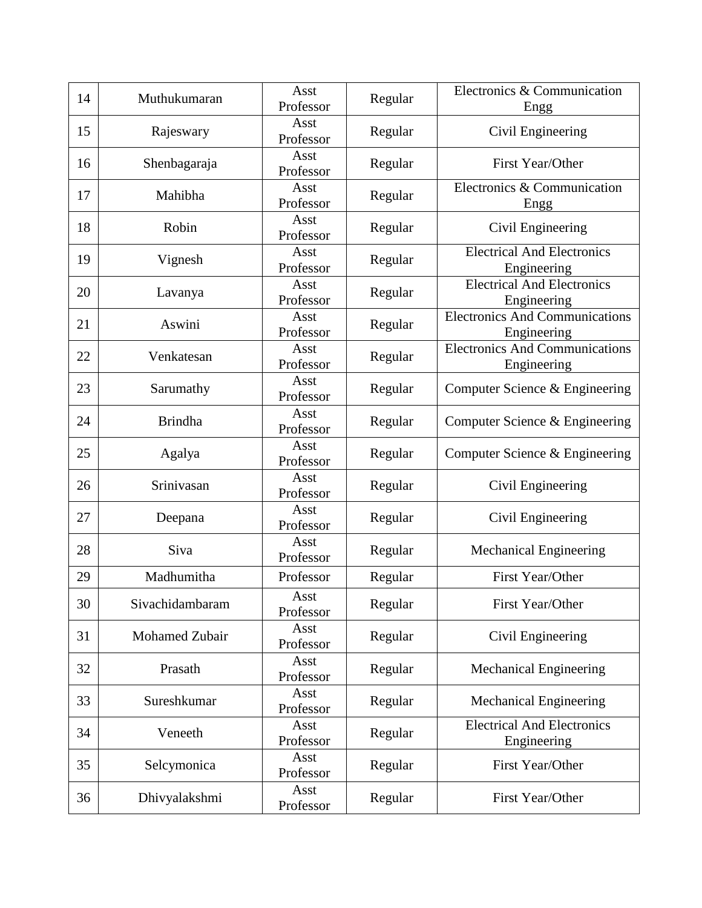| 14 | Muthukumaran    | Asst<br>Professor | Regular | Electronics & Communication<br>Engg                  |
|----|-----------------|-------------------|---------|------------------------------------------------------|
| 15 | Rajeswary       | Asst<br>Professor | Regular | Civil Engineering                                    |
| 16 | Shenbagaraja    | Asst<br>Professor | Regular | First Year/Other                                     |
| 17 | Mahibha         | Asst<br>Professor | Regular | Electronics & Communication<br>Engg                  |
| 18 | Robin           | Asst<br>Professor | Regular | Civil Engineering                                    |
| 19 | Vignesh         | Asst<br>Professor | Regular | <b>Electrical And Electronics</b><br>Engineering     |
| 20 | Lavanya         | Asst<br>Professor | Regular | <b>Electrical And Electronics</b><br>Engineering     |
| 21 | Aswini          | Asst<br>Professor | Regular | <b>Electronics And Communications</b><br>Engineering |
| 22 | Venkatesan      | Asst<br>Professor | Regular | <b>Electronics And Communications</b><br>Engineering |
| 23 | Sarumathy       | Asst<br>Professor | Regular | Computer Science & Engineering                       |
| 24 | <b>Brindha</b>  | Asst<br>Professor | Regular | Computer Science & Engineering                       |
| 25 | Agalya          | Asst<br>Professor | Regular | Computer Science & Engineering                       |
| 26 | Srinivasan      | Asst<br>Professor | Regular | Civil Engineering                                    |
| 27 | Deepana         | Asst<br>Professor | Regular | Civil Engineering                                    |
| 28 | Siva            | Asst<br>Professor | Regular | <b>Mechanical Engineering</b>                        |
| 29 | Madhumitha      | Professor         | Regular | First Year/Other                                     |
| 30 | Sivachidambaram | Asst<br>Professor | Regular | First Year/Other                                     |
| 31 | Mohamed Zubair  | Asst<br>Professor | Regular | Civil Engineering                                    |
| 32 | Prasath         | Asst<br>Professor | Regular | <b>Mechanical Engineering</b>                        |
| 33 | Sureshkumar     | Asst<br>Professor | Regular | <b>Mechanical Engineering</b>                        |
| 34 | Veneeth         | Asst<br>Professor | Regular | <b>Electrical And Electronics</b><br>Engineering     |
| 35 | Selcymonica     | Asst<br>Professor | Regular | First Year/Other                                     |
| 36 | Dhivyalakshmi   | Asst<br>Professor | Regular | First Year/Other                                     |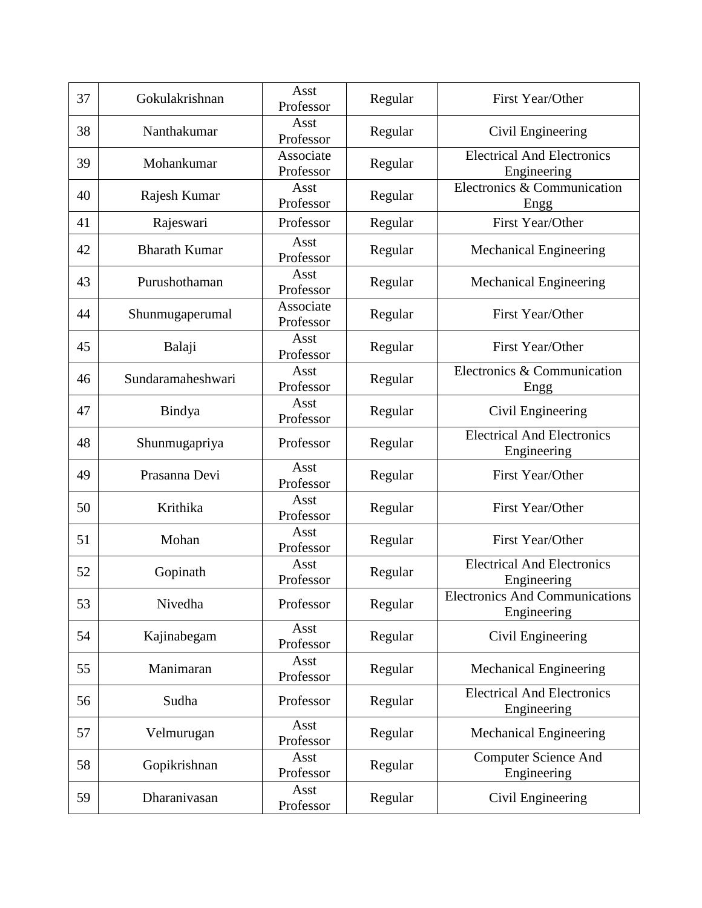| 37 | Gokulakrishnan       | Asst<br>Professor      | Regular | First Year/Other                                     |
|----|----------------------|------------------------|---------|------------------------------------------------------|
| 38 | Nanthakumar          | Asst<br>Professor      | Regular | Civil Engineering                                    |
| 39 | Mohankumar           | Associate<br>Professor | Regular | <b>Electrical And Electronics</b><br>Engineering     |
| 40 | Rajesh Kumar         | Asst<br>Professor      | Regular | Electronics & Communication<br>Engg                  |
| 41 | Rajeswari            | Professor              | Regular | First Year/Other                                     |
| 42 | <b>Bharath Kumar</b> | Asst<br>Professor      | Regular | <b>Mechanical Engineering</b>                        |
| 43 | Purushothaman        | Asst<br>Professor      | Regular | <b>Mechanical Engineering</b>                        |
| 44 | Shunmugaperumal      | Associate<br>Professor | Regular | First Year/Other                                     |
| 45 | Balaji               | Asst<br>Professor      | Regular | First Year/Other                                     |
| 46 | Sundaramaheshwari    | Asst<br>Professor      | Regular | Electronics & Communication<br>Engg                  |
| 47 | Bindya               | Asst<br>Professor      | Regular | Civil Engineering                                    |
| 48 | Shunmugapriya        | Professor              | Regular | <b>Electrical And Electronics</b><br>Engineering     |
| 49 | Prasanna Devi        | Asst<br>Professor      | Regular | First Year/Other                                     |
| 50 | Krithika             | Asst<br>Professor      | Regular | First Year/Other                                     |
| 51 | Mohan                | Asst<br>Professor      | Regular | First Year/Other                                     |
| 52 | Gopinath             | Asst<br>Professor      | Regular | <b>Electrical And Electronics</b><br>Engineering     |
| 53 | Nivedha              | Professor              | Regular | <b>Electronics And Communications</b><br>Engineering |
| 54 | Kajinabegam          | Asst<br>Professor      | Regular | Civil Engineering                                    |
| 55 | Manimaran            | Asst<br>Professor      | Regular | <b>Mechanical Engineering</b>                        |
| 56 | Sudha                | Professor              | Regular | <b>Electrical And Electronics</b><br>Engineering     |
| 57 | Velmurugan           | Asst<br>Professor      | Regular | <b>Mechanical Engineering</b>                        |
| 58 | Gopikrishnan         | Asst<br>Professor      | Regular | <b>Computer Science And</b><br>Engineering           |
| 59 | Dharanivasan         | Asst<br>Professor      | Regular | Civil Engineering                                    |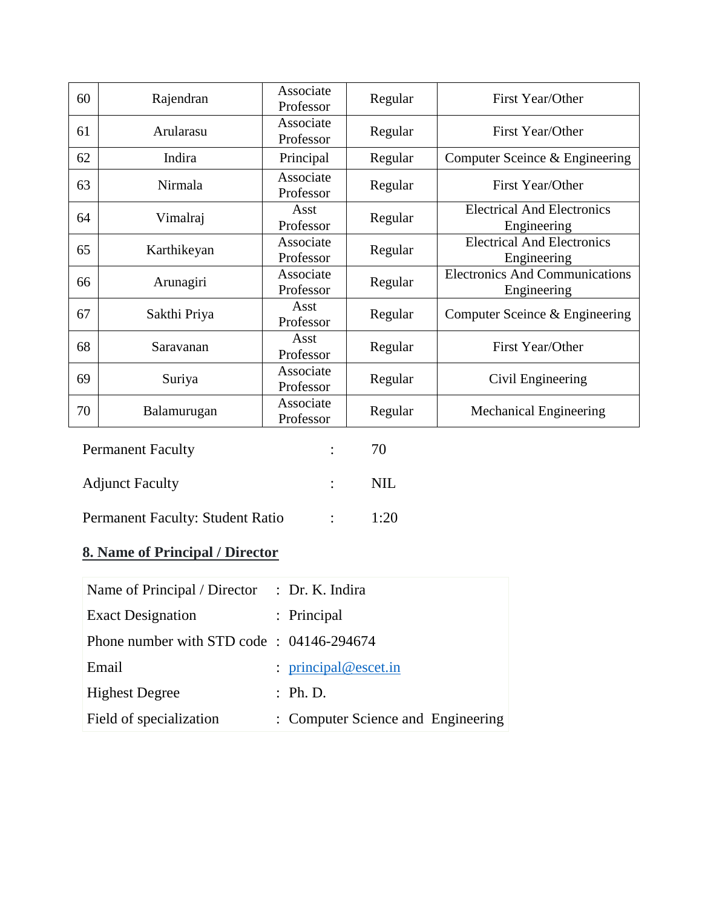| 60 | Rajendran    | Associate<br>Professor | Regular | First Year/Other                                     |
|----|--------------|------------------------|---------|------------------------------------------------------|
| 61 | Arularasu    | Associate<br>Professor | Regular | First Year/Other                                     |
| 62 | Indira       | Principal              | Regular | Computer Sceince & Engineering                       |
| 63 | Nirmala      | Associate<br>Professor | Regular | First Year/Other                                     |
| 64 | Vimalraj     | Asst<br>Professor      | Regular | <b>Electrical And Electronics</b><br>Engineering     |
| 65 | Karthikeyan  | Associate<br>Professor | Regular | <b>Electrical And Electronics</b><br>Engineering     |
| 66 | Arunagiri    | Associate<br>Professor | Regular | <b>Electronics And Communications</b><br>Engineering |
| 67 | Sakthi Priya | Asst<br>Professor      | Regular | Computer Sceince & Engineering                       |
| 68 | Saravanan    | Asst<br>Professor      | Regular | First Year/Other                                     |
| 69 | Suriya       | Associate<br>Professor | Regular | Civil Engineering                                    |
| 70 | Balamurugan  | Associate<br>Professor | Regular | <b>Mechanical Engineering</b>                        |

| <b>Permanent Faculty</b>         |                  | 70   |
|----------------------------------|------------------|------|
| <b>Adjunct Faculty</b>           |                  | NIL. |
| Permanent Faculty: Student Ratio | $\sim$ 100 $\mu$ | 1:20 |

# **8. Name of Principal / Director**

| Name of Principal / Director : Dr. K. Indira |                                    |
|----------------------------------------------|------------------------------------|
| <b>Exact Designation</b>                     | : Principal                        |
| Phone number with STD code: 04146-294674     |                                    |
| Email                                        | : $principal @escet.in$            |
| <b>Highest Degree</b>                        | : Ph.D.                            |
| Field of specialization                      | : Computer Science and Engineering |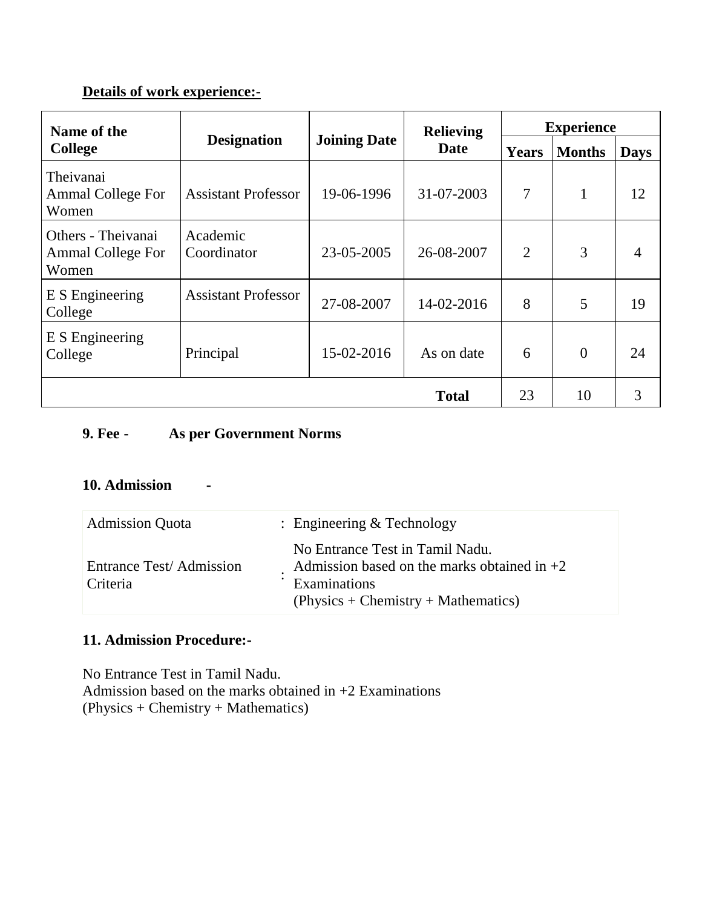## **Details of work experience:-**

| Name of the                                             |                                                          |            | <b>Relieving</b> | <b>Experience</b> |               |             |
|---------------------------------------------------------|----------------------------------------------------------|------------|------------------|-------------------|---------------|-------------|
| <b>College</b>                                          | <b>Joining Date</b><br><b>Designation</b><br><b>Date</b> |            |                  | Years             | <b>Months</b> | <b>Days</b> |
| Theivanai<br><b>Ammal College For</b><br>Women          | <b>Assistant Professor</b>                               | 19-06-1996 | 31-07-2003       | $\overline{7}$    | $\mathbf{1}$  | 12          |
| Others - Theivanai<br><b>Ammal College For</b><br>Women | Academic<br>Coordinator                                  | 23-05-2005 | 26-08-2007       | $\overline{2}$    | 3             | 4           |
| E S Engineering<br>College                              | <b>Assistant Professor</b>                               | 27-08-2007 | 14-02-2016       | 8                 | 5             | 19          |
| E S Engineering<br>College                              | Principal                                                | 15-02-2016 | As on date       | 6                 | $\theta$      | 24          |
|                                                         |                                                          |            | <b>Total</b>     | 23                | 10            | 3           |

## **9. Fee - As per Government Norms**

## **10. Admission -**

| <b>Admission Quota</b>              | : Engineering $&$ Technology                                                                                                              |
|-------------------------------------|-------------------------------------------------------------------------------------------------------------------------------------------|
| Entrance Test/Admission<br>Criteria | No Entrance Test in Tamil Nadu.<br>Admission based on the marks obtained in $+2$<br>Examinations<br>$(Physics + Chemistry + Mathematics)$ |

# **11. Admission Procedure:-**

No Entrance Test in Tamil Nadu. Admission based on the marks obtained in  $+2$  Examinations (Physics + Chemistry + Mathematics)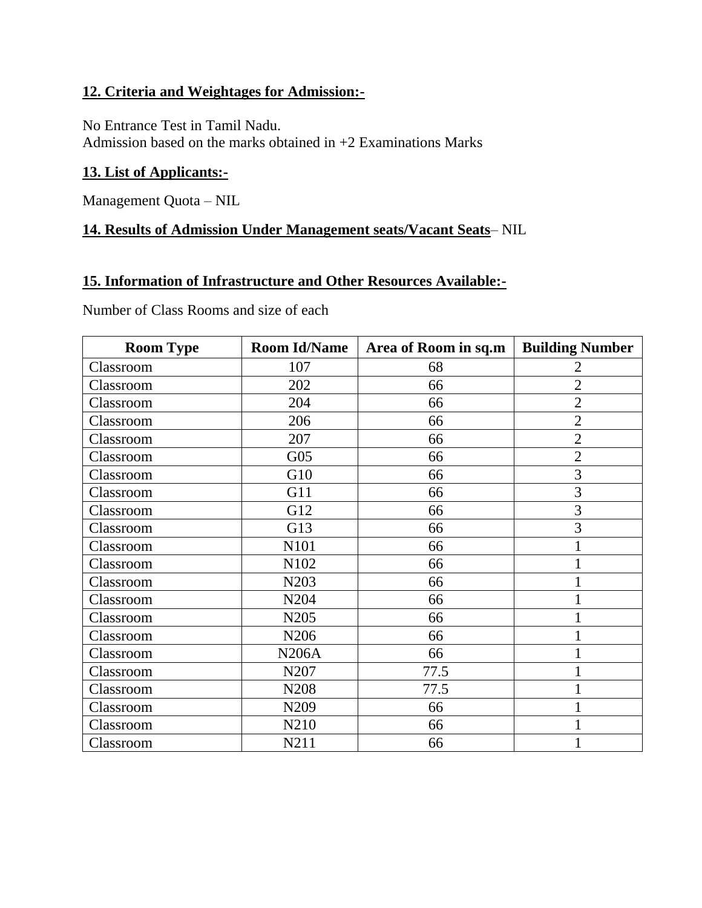#### **12. Criteria and Weightages for Admission:-**

No Entrance Test in Tamil Nadu.

Admission based on the marks obtained in +2 Examinations Marks

## **13. List of Applicants:-**

Management Quota – NIL

## **14. Results of Admission Under Management seats/Vacant Seats**– NIL

#### **15. Information of Infrastructure and Other Resources Available:-**

Number of Class Rooms and size of each

| <b>Room Type</b> | <b>Room Id/Name</b> | Area of Room in sq.m | <b>Building Number</b> |
|------------------|---------------------|----------------------|------------------------|
| Classroom        | 107                 | 68                   | 2                      |
| Classroom        | 202                 | 66                   | $\overline{2}$         |
| Classroom        | 204                 | 66                   | $\overline{2}$         |
| Classroom        | 206                 | 66                   | $\overline{2}$         |
| Classroom        | 207                 | 66                   | $\overline{2}$         |
| Classroom        | G <sub>05</sub>     | 66                   | $\overline{2}$         |
| Classroom        | G10                 | 66                   | 3                      |
| Classroom        | G11                 | 66                   | 3                      |
| Classroom        | G12                 | 66                   | 3                      |
| Classroom        | G13                 | 66                   | 3                      |
| Classroom        | N101                | 66                   |                        |
| Classroom        | N102                | 66                   | $\mathbf{1}$           |
| Classroom        | N203                | 66                   | 1                      |
| Classroom        | N204                | 66                   |                        |
| Classroom        | N205                | 66                   | 1                      |
| Classroom        | N206                | 66                   | $\mathbf{1}$           |
| Classroom        | <b>N206A</b>        | 66                   | $\mathbf{1}$           |
| Classroom        | N207                | 77.5                 | 1                      |
| Classroom        | N208                | 77.5                 | 1                      |
| Classroom        | N209                | 66                   | 1                      |
| Classroom        | N210                | 66                   | $\mathbf{1}$           |
| Classroom        | N211                | 66                   | 1                      |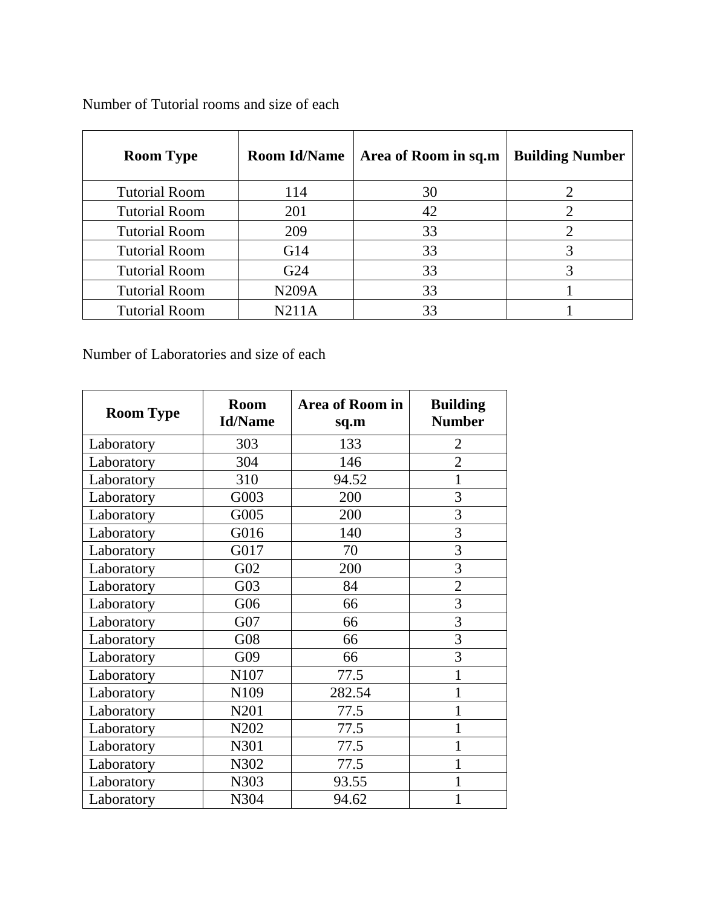| <b>Room Type</b>     | <b>Room Id/Name</b> | Area of Room in sq.m | <b>Building Number</b> |
|----------------------|---------------------|----------------------|------------------------|
| <b>Tutorial Room</b> | 114                 | 30                   |                        |
| <b>Tutorial Room</b> | 201                 | 42                   |                        |
| <b>Tutorial Room</b> | 209                 | 33                   |                        |
| <b>Tutorial Room</b> | G14                 | 33                   |                        |
| <b>Tutorial Room</b> | G24                 | 33                   |                        |
| <b>Tutorial Room</b> | <b>N209A</b>        | 33                   |                        |
| <b>Tutorial Room</b> | N211A               | 33                   |                        |

Number of Tutorial rooms and size of each

Number of Laboratories and size of each

| <b>Room Type</b> | <b>Room</b><br><b>Id/Name</b> | Area of Room in<br>sq.m | <b>Building</b><br><b>Number</b> |
|------------------|-------------------------------|-------------------------|----------------------------------|
| Laboratory       | 303                           | 133                     | $\overline{2}$                   |
| Laboratory       | 304                           | 146                     | $\overline{2}$                   |
| Laboratory       | 310                           | 94.52                   | 1                                |
| Laboratory       | G003                          | 200                     | 3                                |
| Laboratory       | G005                          | 200                     | 3                                |
| Laboratory       | G016                          | 140                     | $\overline{3}$                   |
| Laboratory       | G017                          | 70                      | 3                                |
| Laboratory       | G02                           | 200                     | 3                                |
| Laboratory       | G03                           | 84                      | $\overline{2}$                   |
| Laboratory       | G06                           | 66                      | 3                                |
| Laboratory       | G07                           | 66                      | $\overline{3}$                   |
| Laboratory       | G08                           | 66                      | $\overline{3}$                   |
| Laboratory       | G09                           | 66                      | $\overline{3}$                   |
| Laboratory       | N107                          | 77.5                    | 1                                |
| Laboratory       | N109                          | 282.54                  | 1                                |
| Laboratory       | N201                          | 77.5                    | 1                                |
| Laboratory       | N202                          | 77.5                    | 1                                |
| Laboratory       | N301                          | 77.5                    | 1                                |
| Laboratory       | N302                          | 77.5                    | $\mathbf{1}$                     |
| Laboratory       | N303                          | 93.55                   | 1                                |
| Laboratory       | N304                          | 94.62                   |                                  |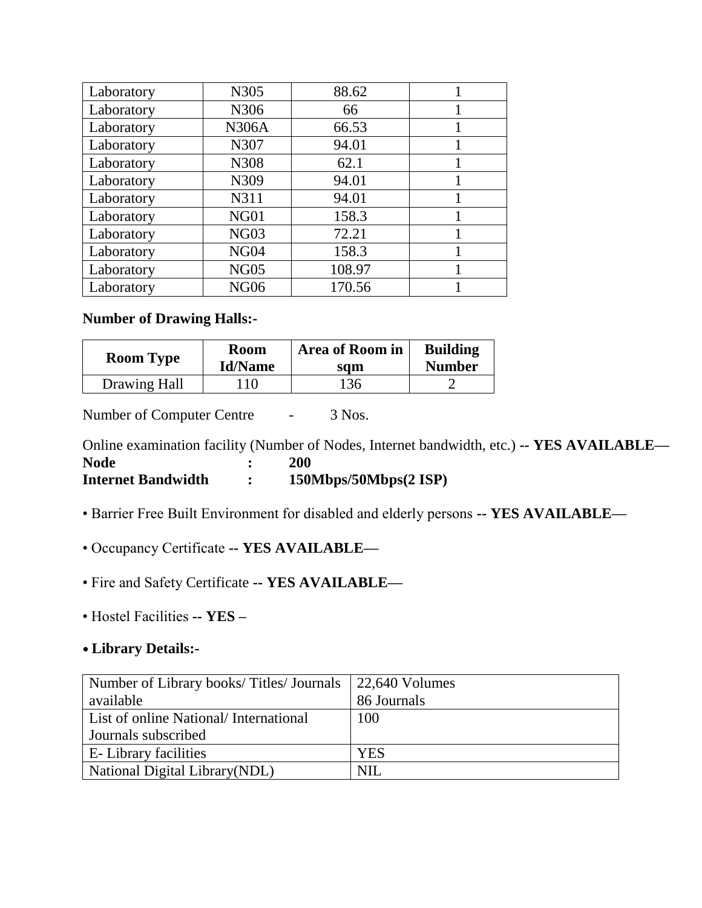| Laboratory | N305             | 88.62  |  |
|------------|------------------|--------|--|
| Laboratory | N306             | 66     |  |
| Laboratory | <b>N306A</b>     | 66.53  |  |
| Laboratory | N307             | 94.01  |  |
| Laboratory | N308             | 62.1   |  |
| Laboratory | N309             | 94.01  |  |
| Laboratory | N311             | 94.01  |  |
| Laboratory | NG <sub>01</sub> | 158.3  |  |
| Laboratory | <b>NG03</b>      | 72.21  |  |
| Laboratory | NG <sub>04</sub> | 158.3  |  |
| Laboratory | <b>NG05</b>      | 108.97 |  |
| Laboratory | <b>NG06</b>      | 170.56 |  |

#### **Number of Drawing Halls:-**

| <b>Room Type</b> | <b>Room</b>    | <b>Area of Room in</b> | <b>Building</b> |
|------------------|----------------|------------------------|-----------------|
|                  | <b>Id/Name</b> | sqm                    | <b>Number</b>   |
| Drawing Hall     | 10             | 136                    |                 |

Number of Computer Centre - 3 Nos.

Online examination facility (Number of Nodes, Internet bandwidth, etc.) **-- YES AVAILABLE— Node : 200 Internet Bandwidth : 150Mbps/50Mbps(2 ISP)**

- Barrier Free Built Environment for disabled and elderly persons **-- YES AVAILABLE—**
- Occupancy Certificate **-- YES AVAILABLE—**
- Fire and Safety Certificate **-- YES AVAILABLE—**
- Hostel Facilities **-- YES –**

#### **• Library Details:-**

| Number of Library books/Titles/Journals 22,640 Volumes |             |
|--------------------------------------------------------|-------------|
| available                                              | 86 Journals |
| List of online National/International                  | 100         |
| Journals subscribed                                    |             |
| <b>E</b> -Library facilities                           | <b>YES</b>  |
| <b>National Digital Library (NDL)</b>                  | NH          |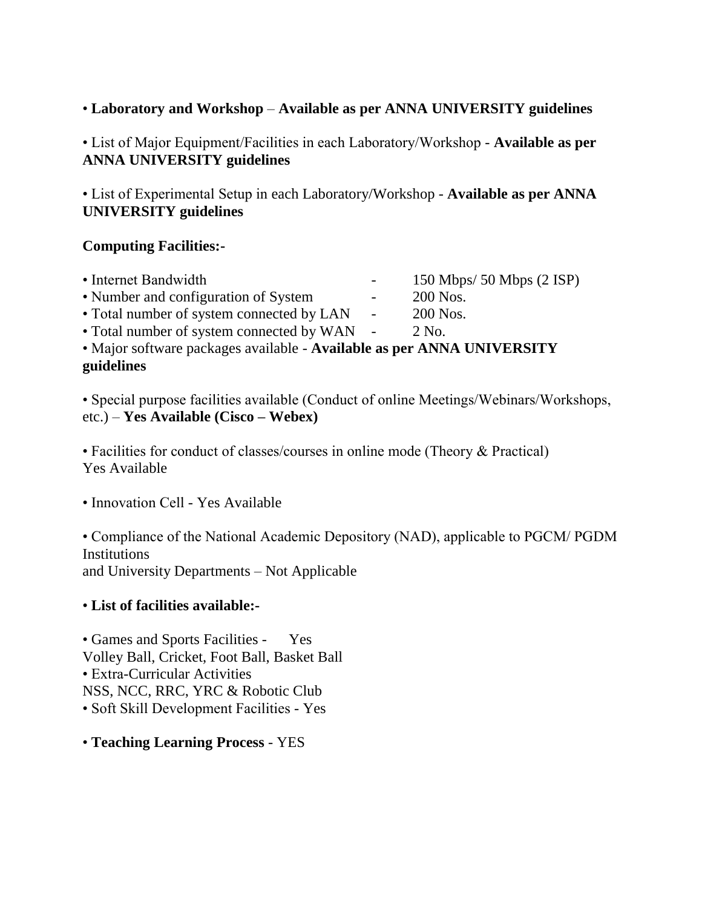#### • **Laboratory and Workshop** – **Available as per ANNA UNIVERSITY guidelines**

• List of Major Equipment/Facilities in each Laboratory/Workshop - **Available as per ANNA UNIVERSITY guidelines**

• List of Experimental Setup in each Laboratory/Workshop - **Available as per ANNA UNIVERSITY guidelines**

#### **Computing Facilities:-**

| • Internet Bandwidth                                                   |            | 150 Mbps/ 50 Mbps $(2$ ISP) |
|------------------------------------------------------------------------|------------|-----------------------------|
| • Number and configuration of System                                   |            | 200 Nos.                    |
| • Total number of system connected by LAN                              | $\sim 100$ | 200 Nos.                    |
| • Total number of system connected by WAN -                            |            | 2 No.                       |
| • Major software packages available - Available as per ANNA UNIVERSITY |            |                             |
| guidelines                                                             |            |                             |

• Special purpose facilities available (Conduct of online Meetings/Webinars/Workshops, etc.) – **Yes Available (Cisco – Webex)**

• Facilities for conduct of classes/courses in online mode (Theory & Practical) Yes Available

• Innovation Cell - Yes Available

• Compliance of the National Academic Depository (NAD), applicable to PGCM/ PGDM **Institutions** and University Departments – Not Applicable

#### • **List of facilities available:-**

• Games and Sports Facilities - Yes Volley Ball, Cricket, Foot Ball, Basket Ball • Extra-Curricular Activities NSS, NCC, RRC, YRC & Robotic Club • Soft Skill Development Facilities - Yes

• **Teaching Learning Process** - YES